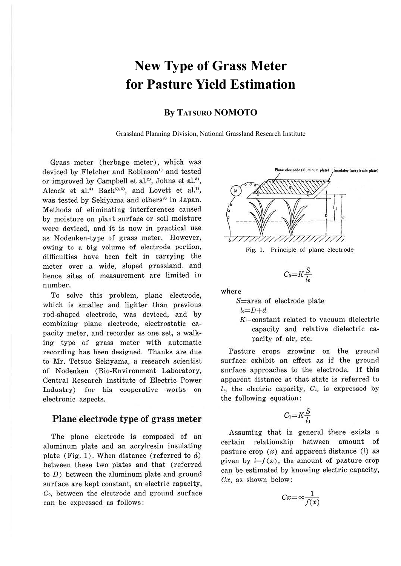# **New Type of Grass Meter for Pasture Yield Estimation**

## **By TATSURO NOMOTO**

Grassland Planning Division, National Grassland Research Institute

Grass meter (herbage meter), which was deviced by Fletcher and Robinson<sup>1</sup> and tested or improved by Campbell et al.<sup>2)</sup>, Johns et al.<sup>3)</sup>, Alcock et al.<sup>4)</sup> Back<sup>51,6</sup><sup>1</sup>, and Lovett et al.<sup>7</sup>, was tested by Sekiyama and others<sup>8)</sup> in Japan. Methods of eliminating interferences caused by moisture on plant surface or soil moisture were deviced, and it is now in practical use as Nodenken-type of grass meter. However, owing to a big volume of electrode portion, difficulties have been felt in carrying the meter over a wide, sloped grassland, and hence sites of measurement are limited in number.

To solve this problem, plane electrode, which is smaller and lighter than previous rod-shaped electrode, was deviced, and by combining plane electrode, electrostatic capacity meter, and recorder as one set, a walking type of grass meter with automatic recording has been designed. Thanks are due to Mr. Tetsuo Sekiyama, a research scientist of Nodenken (Bio-Environment Laboratory, Central Research Institute of Electric Power Industry) for his cooperative works on electronic aspects.

## **Plane electrode type of grass meter**

The plane electrode is composed of an aluminum plate and an acrylresin insulating plate (Fig. 1). When distance (referred to  $d$ ) between these two plates and that (referred to  $D$ ) between the aluminum plate and ground surface are kept constant, an electric capacity, Co, between the electrode and ground surface can be expressed as follows :





$$
C_0 = K \frac{S}{l_0}
$$

where

S=area of electrode plate

$$
l_0 = D + d
$$

 $K=constant$  related to vacuum dielectric capacity and relative dielectric capacity of air, etc.

Pasture crops growing on the ground surface exhibit an effect as if the ground surface approaches to the electrode. If this apparent distance at that state is referred to  $l_1$ , the electric capacity,  $C_1$ , is expressed by the following equation:

$$
C_1 = K \frac{S}{l_1}
$$

Assuming that in general there exists a certain relationship between amount of pasture crop  $(x)$  and apparent distance  $(l)$  as given by  $l=f(x)$ , the amount of pasture crop can be estimated by knowing electric capacity,  $Cx$ , as shown below:

$$
Cx = \infty \frac{1}{f(x)}
$$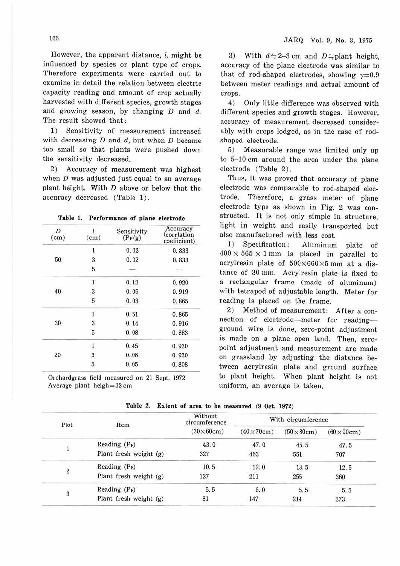However, the apparent distance,  $l$ , might be influenced by species or plant type of crops. Therefore experiments were carried out to examine in detail the relation between electric capacity reading and amount of crop actually harvested with different species, growth stages and growing season, by changing  $D$  and  $d$ . The result showed that:

1) Sensitivity of measurement increased with decreasing  $D$  and  $d$ , but when  $D$  became too small so that plants were pushed down the sensitivity decreased.

2) Accuracy of measurement was highest when  $D$  was adjusted just equal to an average plant height. With *D* above or below that the accuracy decreased (Table 1).

| Table 1. Performance of plane electrode |  |
|-----------------------------------------|--|
|-----------------------------------------|--|

| D<br>(cm) | l<br>(cm)    | Sensitivity<br>$(P_F/g)$ | Accuracy<br>(corrlation<br>coefficient) |  |
|-----------|--------------|--------------------------|-----------------------------------------|--|
|           | l            | 0.02                     | 0.833                                   |  |
| 50        | 3            | 0.02                     | 0.833                                   |  |
|           | 5            | $\overline{\phantom{a}}$ |                                         |  |
| 40        | 1            | 0.12                     | 0.920                                   |  |
|           | 3            | 0.06                     | 0.919                                   |  |
|           | 5            | 0.03                     | 0.865                                   |  |
| 30        | $\mathbf{1}$ | 0.51                     | 0.865                                   |  |
|           | 3            | 0.14                     | 0.916                                   |  |
|           | 5            | 0.08                     | 0.883                                   |  |
| 20        | 1            | 0.45                     | 0.930                                   |  |
|           | 3            | 0.08                     | 0.930                                   |  |
|           | 5            | 0.05                     | 0.808                                   |  |

Orchardgrass field measured on 21 Sept. 1972 Average plant heigh =  $32 \text{ cm}$ 

3) With  $d=2-3$  cm and  $D=$  plant height, accuracy of the plane electrode was similar to that of rod-shaped electrodes, showing  $\gamma = 0.9$ between meter readings and actual amount of crops.

4) Only little difference was observed with different species and growth stages. However, accuracy of measurement decreased considerably with crops lodged, as in the case of rodshaped electrode.

5) Measurable range was limited only up to 5-10 cm around the area under the plane electrode (Table 2) .

Thus, it was proved that accuracy of plane electrode was comparable to rod-shaped electrode. Therefore, a grass meter of plane electrode type as shown in Fig. 2 was constructed. It is not only simple in structure, light in weight and easily transported but also manufactured with less cost.

1) Specification: Aluminum plate of  $400 \times 565 \times 1$  mm is placed in parallel to acrylresin plate of  $500\times660\times5$  mm at a distance of 30 mm. Acrylresin plate is fixed to a rectangular frame (made of aluminum) with tetrapod of adjustable length. Meter for reading is placed on the frame.

2) Method of measurement: After a connection of electrode--meter for readingground wire is done, zero-point adjustment is made on a plane open land. Then, zeropoint adjustment and measurement are made on grassland by adjusting the distance between acrylresin plate and ground surface to plant height. When plant height is not uniform, an average is taken.

| Plot             | Item                     | Without<br>circumference<br>$(30\times60cm)$ | With circumference |                            |                  |
|------------------|--------------------------|----------------------------------------------|--------------------|----------------------------|------------------|
|                  |                          |                                              | $(40\times70cm)$   | $(50 \times 80 \text{cm})$ | $(60\times90cm)$ |
|                  | Reading $(P_F)$          | 43.0                                         | 47.0               | 45.5                       | 47.5             |
|                  | Plant fresh weight $(g)$ | 327                                          | 463                | 551                        | 707              |
| $\boldsymbol{2}$ | Reading $(P_F)$          | 10.5                                         | 12.0               | 13.5                       | 12.5             |
|                  | Plant fresh weight (g)   | 127                                          | 211                | 255                        | 360              |
| 3                | Reading $(P_F)$          | 5.5                                          | 6.0                | 5.5                        | 5.5              |
|                  | Plant fresh weight $(g)$ | 81                                           | 147                | 214                        | 273              |

**Table 2. Extent of area to be measured** (9 Oct. 1972)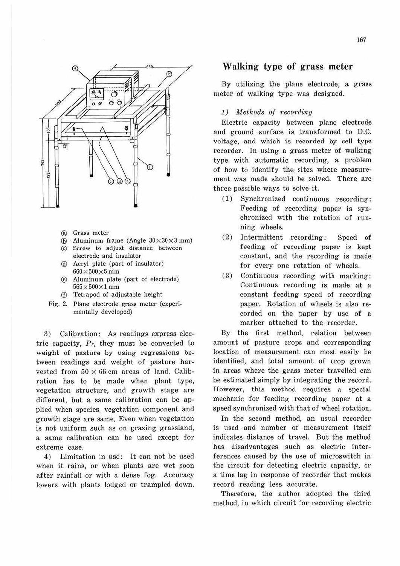

- @ Grass meter
- $\textcircled{6}$  Aluminum frame (Angle  $30 \times 30 \times 3$  mm)
- © Screw to adjust distance between electrode and insulator
- @ Aery! plate (part of insulator)  $660\times500\times5$  mm
- @ Aluminum plate (part of electrode)  $565 \times 500 \times 1$  mm
- © Tetrapod of adjustable height
- Fig. 2. Plane electrode grass meter (experimentally developed)

3) Calibration: As readings express electric capacity,  $Pr$ , they must be converted to weight of pasture by using regressions between readings and weight of pasture harvested from  $50 \times 66$  cm areas of land. Calibration has to be made when plant type, vegetation structure, and growth stage are different, but a same calibration can be applied when species, vegetation component and growth stage are same. Even when vegetation is not uniform such as on grazing grassland, a same calibration can be used except for extreme case.

4) Limitation in use: It can not be used when it rains, or when plants are wet soon after rainfall or with a dense fog. Accuracy lowers with plants lodged or trampled down.

## **Walking type of grass meter**

By utilizing the plane electrode, a grass meter of walking type was designed.

#### 1) Methods of recording

Electric capacity between plane electrode and ground surface is transformed to D.C. voltage, and which is recorded by cell type recorder. In using a grass meter of walking type with automatic recording, a problem of how to identify the sites where measurement was made should be solved. There are three possible ways to solve it.

- ( 1) Synchronized continuous recording: Feeding of recording paper is synchronized with the rotation of running wheels.
- (2) Intermittent recording: Speed of feeding of recording paper is kept constant, and the recording is made for every one rotation of wheels.
- (3) Continuous recording with marking: Continuous recording is made at a constant feeding speed of recording paper. Rotation of wheels is also recorded on the paper by use of a marker attached to the recorder.

By the first method, relation between amount of pasture crops and corresponding location of measurement can most easily be identified, and total amount of crop grown in areas where the grass meter travelled can be estimated simply by integrating the record. However, this method requires a special mechanic for feeding recording paper at a speed synchronized with that of wheel rotation.

In the second method, an usual recorder is used and number of measurement itself indicates distance of travel. But the method has disadvantages such as electric interferences caused by the use of microswitch in the circuit for detecting electric capacity, or a time lag in response of recorder that makes record reading less accurate.

Therefore, the author adopted the third method, in which circuit for recording electric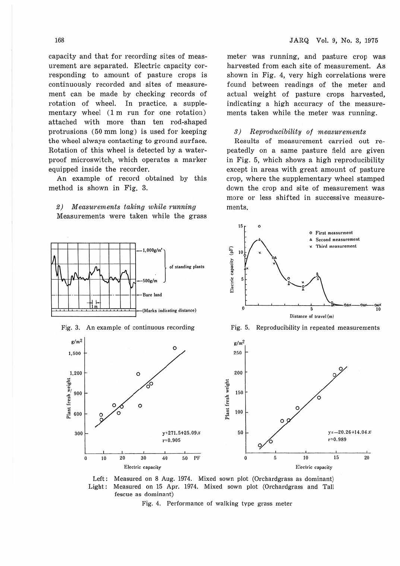capacity and that for recording sites of measurement are separated. Electric capacity corresponding to amount of pasture crops is continuously recorded and sites of measurement can be made by checking records of rotation of wheel. In practice, a supplementary wheel (1 m run for one rotation) attached with more than ten rod-shaped protrusions (50 mm long) is used for keeping the wheel always contacting to ground surface. Rotation of this wheel is detected by a waterproof microswitch, which operates a marker equipped inside the recorder.

An example of record obtained by this method is shown in Fig. 3.

2) Measurements taking while running Measurements were taken while the grass

meter was running, and pasture crop was harvested from each site of measurement. As shown in Fig. 4, very high correlations were found between readings of the meter and actual weight of pasture crops harvested, indicating a high accuracy of the measurements taken while the meter was running.

#### 3) Reproducibility of measurements

Results of measurement carried out repeatedly on a same pasture field are given in Fig. 5, which shows a high reproducibility except in areas with great amount of pasture crop, where the supplementary wheel stamped down the crop and site of measurement was more or less shifted in successive measurements.

**o First mcasurment** 



15 0

Left: Measured on 8 Aug. 1974. Mixed sown plot (Orchardgrass as dominant) Light: Measured on 15 Apr. 1974. Mixed sown plot (Orchardgrass and Tall fescue as dominant)

Fig. 4. Performance of walking type grass meter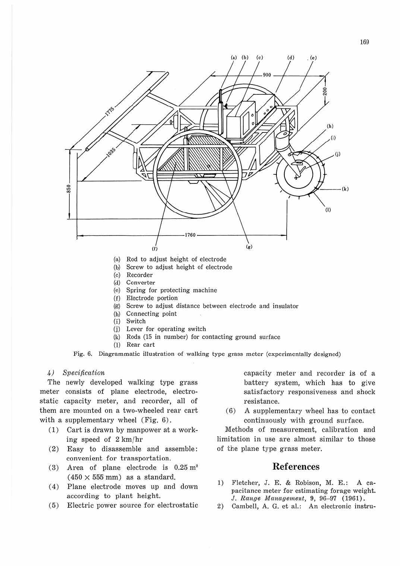

- (a) Rod to adjust height of electrode
- (b) Screw to adjust height of electrode
- (c) Recorder
- (d) Converter
- (e) Spring for protecting machine
- (f) Electrode portion
- (g) Screw to adjust distance between electrode and insuJator
- (h) Connecting point
- (i) Switch
- (j) Lever for operating switch
- (k) Rods (15 in number) for contacting ground surface
- (I) Rear cart

Fig. 6. Diagrammatic illustration of walking type grass meter (experimentally designed)

### 4) Specification

The newly developed walking type grass meter consists of plane electrode, electrostatic capacity meter, and recorder, all of them are mounted on a two-wheeled rear cart with a supplementary wheel (Fig. 6).

- (1) Cart is drawn by manpower at a working speed of 2 km/hr
- (2) Easy to disassemble and assemble: convenient for transportation.
- (3) Area of plane electrode is  $0.25 \text{ m}^2$  $(450 \times 555$  mm) as a standard.
- ( 4) Plane electrode moves up and down according to plant height.
- (5) Electric power source for electrostatic

capacity meter and recorder is of a battery system, which has to give satisfactory responsiveness and shock resistance.

(6) A supplementary wheel has to contact continuously with ground surface.

Methods of measurement, calibration and limitation in use are almost similar to those of the plane type grass meter.

## **References**

- 1) Fletcher, J. E. & Robison, M. E.: A capacitance meter for estimating forage weight. J. Range Management. 9, 96-97 (1961).
- 2) Cambell, A. G. et al.: An electronic instru-